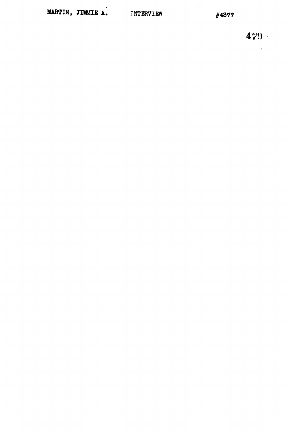$\mathcal{L}_{\mathcal{L}}$ 

**479**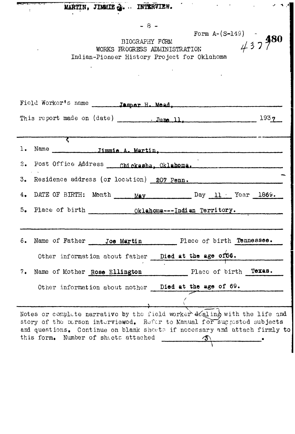| MARTIN, JIMMIE &. . INTERVIEW.<br>the contract of the contract of the contract of the contract of the contract of the contract of the contract of<br>$\mathcal{L}$                                                                                                        |           |
|---------------------------------------------------------------------------------------------------------------------------------------------------------------------------------------------------------------------------------------------------------------------------|-----------|
| $-8-$<br>Form $A - (S - 149)$<br>$432^{480}$<br>BIOGRAPHY FORM<br>WORKS PROGRESS ADMINISTRATION<br>Indian-Pioneer History Project for Oklahoma                                                                                                                            |           |
|                                                                                                                                                                                                                                                                           |           |
| This report made on (date) June 11,                                                                                                                                                                                                                                       | $193 - 7$ |
| $\overline{\phantom{a}}$                                                                                                                                                                                                                                                  |           |
| 2. Post Office Address Chickasha, Oklahoma.                                                                                                                                                                                                                               |           |
| 3. Residence address (or location) 207 Penn.                                                                                                                                                                                                                              |           |
| 4. DATE OF BIRTH: Month May May Day 11 Year 1869.                                                                                                                                                                                                                         |           |
|                                                                                                                                                                                                                                                                           |           |
| Place of birth Tennessee.<br>6. Name of Father Joe Martin                                                                                                                                                                                                                 |           |
| Died at the age of56.<br>Other information about father                                                                                                                                                                                                                   |           |
| <b>Texas.</b><br>Name of Mother Rose Ellington<br>Place of birth<br>7.                                                                                                                                                                                                    |           |
| Died at the age of 69.<br>Other information about mother                                                                                                                                                                                                                  |           |
|                                                                                                                                                                                                                                                                           |           |
| Notes or complete narrative by the field worker dealing with the life and<br>story of the parson interviewed. Refer to Manual for suggested subjects<br>and questions. Continue on blank sheets if necessary and attach firmly to<br>this form. Number of sheets attached |           |

 $\Delta$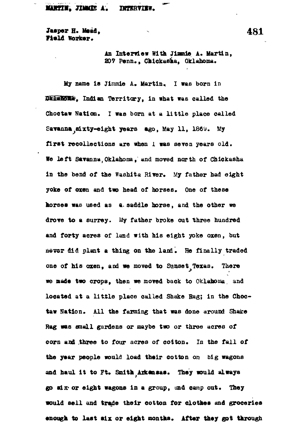## **MARTIN. JIMMIN A.** INTERVIEW.

*Jasper H. Mead,* **481 Field Worker.**

## **in Interflow With Jinmi© A. Martin, 207 Penn,, Chlckasha, Oklahoma,**

**My name is Jlnunie A. Martin. I was born in CELEBORE, Indian Territory, in what was called the** Choctaw Nation. I was born at a little place called Savanna aixty-eight years ago, May 11, 1869. My **first recollections are when 1 was seven years old. We left Savanna, Oklahoma, and moved north of Chickasha** in the bend of the Washita River. My father had eight **yoke of oxen and two head of horses. One of these horses was used as a.saddle horse, and the other we drove to a surrey. My father broke out three hundred and forty acres of land with his eight yoke oxen, but** never did plant a thing on the land. He finally traded **one of his oxen, and we moved to Sunset Texas. There we aade two crops, then we moved back to Oklahoma, and** located at a little place called Shake Rag; in the Choctaw Nation. All the farming that was done around Shake **Rag was small gardens or maybe two or three acres of corn and three to four acres of cotton. In the fall of the year people would load their cotton on big wagons** and haul it to Ft. Smith Arkansas. They would always go six or eight wagons in a group, und camp out. They **would sell and trade their cotton for clothes and groceries enough to last six or eight months. After they got through**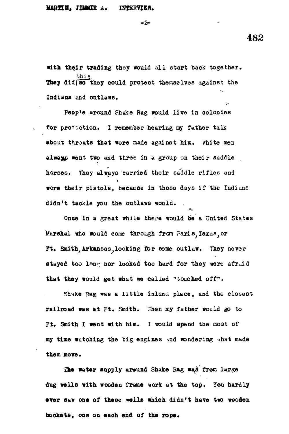**HABTIH, JHMXE A .** INTERVIEW.

 $-2-$ 

**482**

**with thoir trading they would all start back together. this.** They 61d so they could protect themselves against the **Indiana and outlaws.**

**People around Shake Rag would live in colonies** for protection. I remember hearing my father talk **about throats that were made against him. White men always went two and three in a group on their saddle horses. They always carried their saddle rifles and wore their pistols, because in those days if the Indians didn't tackle you the outlaws would. -**

**Once in a great while there would be a United States Marshal who would come through from Par!** *BJ* **Texas***>* **or Ft. Saith, Arkaasas^looking for some outlaw. They never stayed too l^n-^ nor looked too hard for they were afraid that they would get what we calied ''touched off".**

Shake Rag was a little inland place, and the closest railroad was at Ft. Smith. When my father would go to Ft. Smith I went with him. I would spend the most of **my time watching the big engines md wondering »hat made them move.**

The water supply around Shake Rag was from large dug wells with wooden frame work at the top. You hardly **ever saw one of these wells which dldn<sup>f</sup> t have two wooden** buckets, one on each end of the rope.